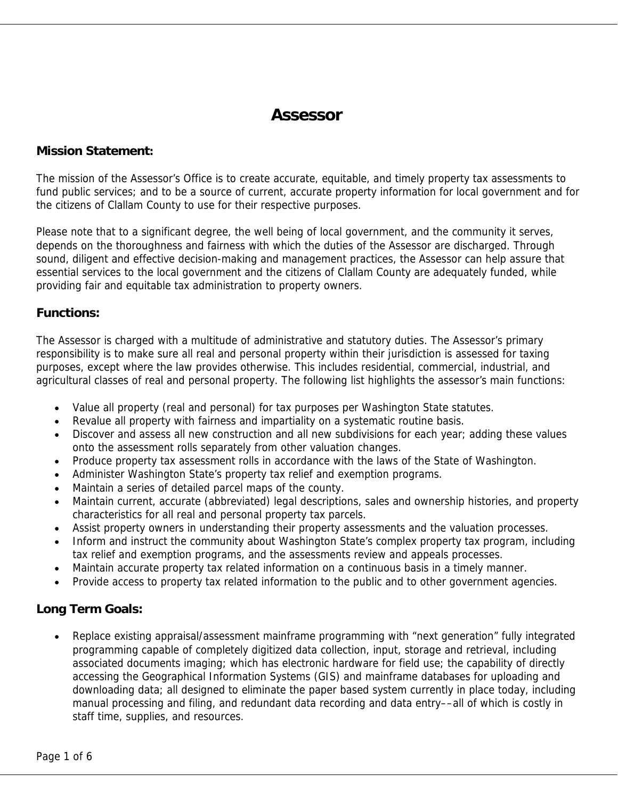# **Assessor**

#### **Mission Statement:**

The mission of the Assessor's Office is to create accurate, equitable, and timely property tax assessments to fund public services; and to be a source of current, accurate property information for local government and for the citizens of Clallam County to use for their respective purposes.

Please note that to a significant degree, the well being of local government, and the community it serves, depends on the thoroughness and fairness with which the duties of the Assessor are discharged. Through sound, diligent and effective decision-making and management practices, the Assessor can help assure that essential services to the local government and the citizens of Clallam County are adequately funded, while providing fair and equitable tax administration to property owners.

#### **Functions:**

The Assessor is charged with a multitude of administrative and statutory duties. The Assessor's primary responsibility is to make sure all real and personal property within their jurisdiction is assessed for taxing purposes, except where the law provides otherwise. This includes residential, commercial, industrial, and agricultural classes of real and personal property. The following list highlights the assessor's main functions:

- Value all property (real and personal) for tax purposes per Washington State statutes.
- Revalue all property with fairness and impartiality on a systematic routine basis.
- Discover and assess all new construction and all new subdivisions for each year; adding these values onto the assessment rolls separately from other valuation changes.
- Produce property tax assessment rolls in accordance with the laws of the State of Washington.
- Administer Washington State's property tax relief and exemption programs.
- Maintain a series of detailed parcel maps of the county.
- Maintain current, accurate (abbreviated) legal descriptions, sales and ownership histories, and property characteristics for all real and personal property tax parcels.
- Assist property owners in understanding their property assessments and the valuation processes.
- Inform and instruct the community about Washington State's complex property tax program, including tax relief and exemption programs, and the assessments review and appeals processes.
- Maintain accurate property tax related information on a continuous basis in a timely manner.
- Provide access to property tax related information to the public and to other government agencies.

# **Long Term Goals:**

• Replace existing appraisal/assessment mainframe programming with "next generation" fully integrated programming capable of completely digitized data collection, input, storage and retrieval, including associated documents imaging; which has electronic hardware for field use; the capability of directly accessing the Geographical Information Systems (GIS) and mainframe databases for uploading and downloading data; all designed to eliminate the paper based system currently in place today, including manual processing and filing, and redundant data recording and data entry––all of which is costly in staff time, supplies, and resources.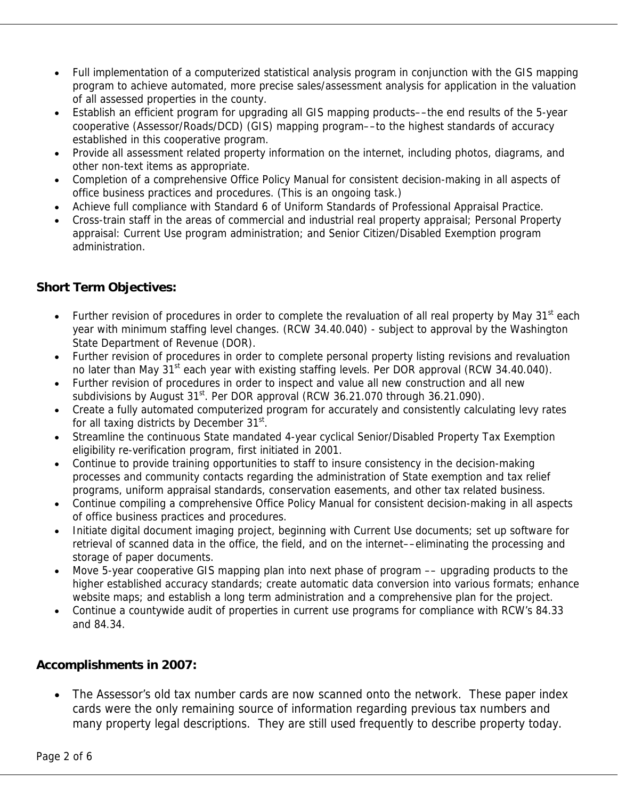- Full implementation of a computerized statistical analysis program in conjunction with the GIS mapping program to achieve automated, more precise sales/assessment analysis for application in the valuation of all assessed properties in the county.
- Establish an efficient program for upgrading all GIS mapping products––the end results of the 5-year cooperative (Assessor/Roads/DCD) (GIS) mapping program––to the highest standards of accuracy established in this cooperative program.
- Provide all assessment related property information on the internet, including photos, diagrams, and other non-text items as appropriate.
- Completion of a comprehensive Office Policy Manual for consistent decision-making in all aspects of office business practices and procedures. (This is an ongoing task.)
- Achieve full compliance with Standard 6 of Uniform Standards of Professional Appraisal Practice.
- Cross-train staff in the areas of commercial and industrial real property appraisal; Personal Property appraisal: Current Use program administration; and Senior Citizen/Disabled Exemption program administration.

# **Short Term Objectives:**

- Further revision of procedures in order to complete the revaluation of all real property by May 31<sup>st</sup> each year with minimum staffing level changes. (RCW 34.40.040) - subject to approval by the Washington State Department of Revenue (DOR).
- Further revision of procedures in order to complete personal property listing revisions and revaluation no later than May 31<sup>st</sup> each year with existing staffing levels. Per DOR approval (RCW 34.40.040).
- Further revision of procedures in order to inspect and value all new construction and all new subdivisions by August  $31^{st}$ . Per DOR approval (RCW 36.21.070 through 36.21.090).
- Create a fully automated computerized program for accurately and consistently calculating levy rates for all taxing districts by December 31<sup>st</sup>.
- Streamline the continuous State mandated 4-year cyclical Senior/Disabled Property Tax Exemption eligibility re-verification program, first initiated in 2001.
- Continue to provide training opportunities to staff to insure consistency in the decision-making processes and community contacts regarding the administration of State exemption and tax relief programs, uniform appraisal standards, conservation easements, and other tax related business.
- Continue compiling a comprehensive Office Policy Manual for consistent decision-making in all aspects of office business practices and procedures.
- Initiate digital document imaging project, beginning with Current Use documents; set up software for retrieval of scanned data in the office, the field, and on the internet––eliminating the processing and storage of paper documents.
- Move 5-year cooperative GIS mapping plan into next phase of program -- upgrading products to the higher established accuracy standards; create automatic data conversion into various formats; enhance website maps; and establish a long term administration and a comprehensive plan for the project.
- Continue a countywide audit of properties in current use programs for compliance with RCW's 84.33 and 84.34.

# **Accomplishments in 2007:**

• The Assessor's old tax number cards are now scanned onto the network. These paper index cards were the only remaining source of information regarding previous tax numbers and many property legal descriptions. They are still used frequently to describe property today.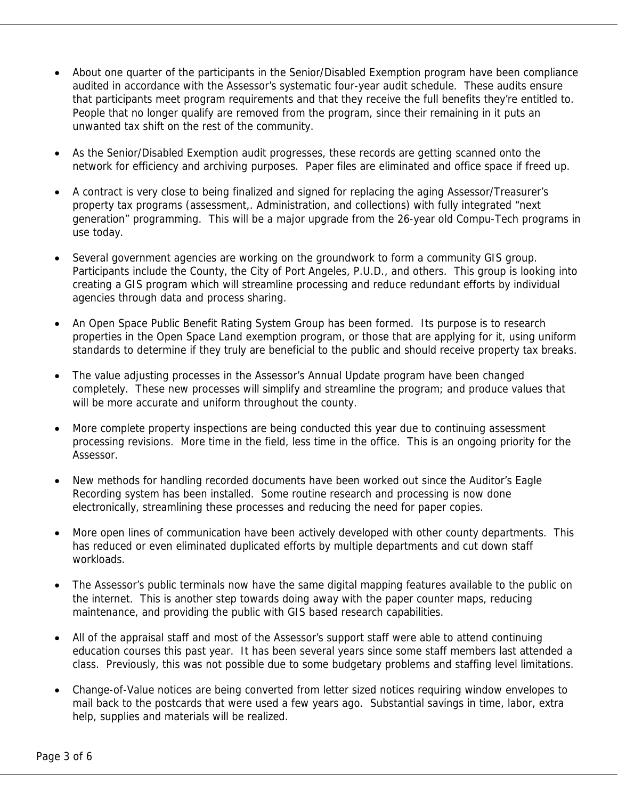- About one quarter of the participants in the Senior/Disabled Exemption program have been compliance audited in accordance with the Assessor's systematic four-year audit schedule. These audits ensure that participants meet program requirements and that they receive the full benefits they're entitled to. People that no longer qualify are removed from the program, since their remaining in it puts an unwanted tax shift on the rest of the community.
- As the Senior/Disabled Exemption audit progresses, these records are getting scanned onto the network for efficiency and archiving purposes. Paper files are eliminated and office space if freed up.
- A contract is very close to being finalized and signed for replacing the aging Assessor/Treasurer's property tax programs (assessment,. Administration, and collections) with fully integrated "next generation" programming. This will be a major upgrade from the 26-year old Compu-Tech programs in use today.
- Several government agencies are working on the groundwork to form a community GIS group. Participants include the County, the City of Port Angeles, P.U.D., and others. This group is looking into creating a GIS program which will streamline processing and reduce redundant efforts by individual agencies through data and process sharing.
- An Open Space Public Benefit Rating System Group has been formed. Its purpose is to research properties in the Open Space Land exemption program, or those that are applying for it, using uniform standards to determine if they truly are beneficial to the public and should receive property tax breaks.
- The value adjusting processes in the Assessor's Annual Update program have been changed completely. These new processes will simplify and streamline the program; and produce values that will be more accurate and uniform throughout the county.
- More complete property inspections are being conducted this year due to continuing assessment processing revisions. More time in the field, less time in the office. This is an ongoing priority for the Assessor.
- New methods for handling recorded documents have been worked out since the Auditor's Eagle Recording system has been installed. Some routine research and processing is now done electronically, streamlining these processes and reducing the need for paper copies.
- More open lines of communication have been actively developed with other county departments. This has reduced or even eliminated duplicated efforts by multiple departments and cut down staff workloads.
- The Assessor's public terminals now have the same digital mapping features available to the public on the internet. This is another step towards doing away with the paper counter maps, reducing maintenance, and providing the public with GIS based research capabilities.
- All of the appraisal staff and most of the Assessor's support staff were able to attend continuing education courses this past year. It has been several years since some staff members last attended a class. Previously, this was not possible due to some budgetary problems and staffing level limitations.
- Change-of-Value notices are being converted from letter sized notices requiring window envelopes to mail back to the postcards that were used a few years ago. Substantial savings in time, labor, extra help, supplies and materials will be realized.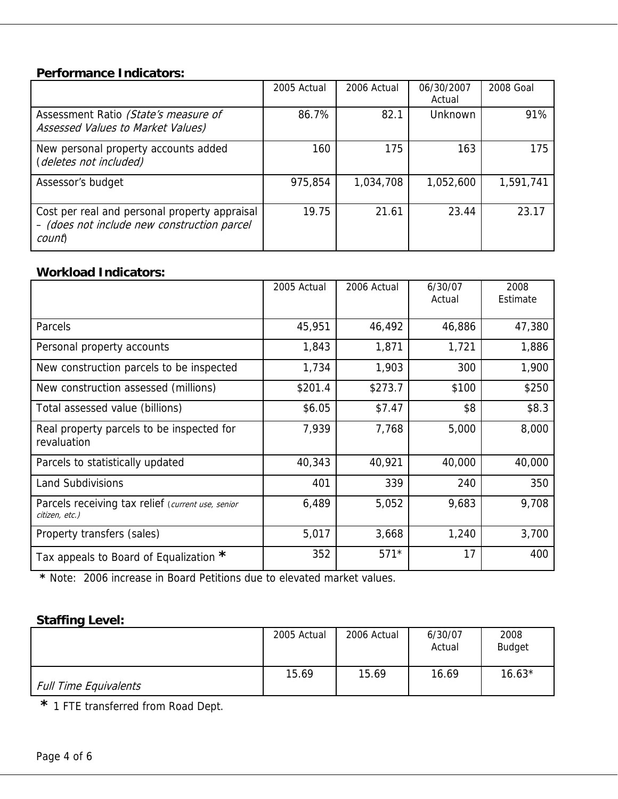#### **Performance Indicators:**

|                                                                                                        | 2005 Actual | 2006 Actual | 06/30/2007<br>Actual | 2008 Goal |
|--------------------------------------------------------------------------------------------------------|-------------|-------------|----------------------|-----------|
| Assessment Ratio (State's measure of<br>Assessed Values to Market Values)                              | 86.7%       | 82.1        | <b>Unknown</b>       | 91%       |
| New personal property accounts added<br>(deletes not included)                                         | 160         | 175         | 163                  | 175       |
| Assessor's budget                                                                                      | 975,854     | 1,034,708   | 1,052,600            | 1,591,741 |
| Cost per real and personal property appraisal<br>- (does not include new construction parcel<br>count) | 19.75       | 21.61       | 23.44                | 23.17     |

#### **Workload Indicators:**

|                                                                     | 2005 Actual | 2006 Actual | 6/30/07<br>Actual | 2008<br>Estimate |
|---------------------------------------------------------------------|-------------|-------------|-------------------|------------------|
| Parcels                                                             | 45,951      | 46,492      | 46,886            | 47,380           |
| Personal property accounts                                          | 1,843       | 1,871       | 1,721             | 1,886            |
| New construction parcels to be inspected                            | 1,734       | 1,903       | 300               | 1,900            |
| New construction assessed (millions)                                | \$201.4     | \$273.7     | \$100             | \$250            |
| Total assessed value (billions)                                     | \$6.05      | \$7.47      | \$8               | \$8.3            |
| Real property parcels to be inspected for<br>revaluation            | 7,939       | 7,768       | 5,000             | 8,000            |
| Parcels to statistically updated                                    | 40,343      | 40,921      | 40,000            | 40,000           |
| <b>Land Subdivisions</b>                                            | 401         | 339         | 240               | 350              |
| Parcels receiving tax relief (current use, senior<br>citizen, etc.) | 6,489       | 5,052       | 9,683             | 9,708            |
| Property transfers (sales)                                          | 5,017       | 3,668       | 1,240             | 3,700            |
| Tax appeals to Board of Equalization *                              | 352         | $571*$      | 17                | 400              |

 **\*** Note: 2006 increase in Board Petitions due to elevated market values.

# **Staffing Level:**

|                              | 2005 Actual | 2006 Actual | 6/30/07<br>Actual | 2008<br><b>Budget</b> |
|------------------------------|-------------|-------------|-------------------|-----------------------|
| <b>Full Time Equivalents</b> | 15.69       | 15.69       | 16.69             | $16.63*$              |

 **\*** 1 FTE transferred from Road Dept.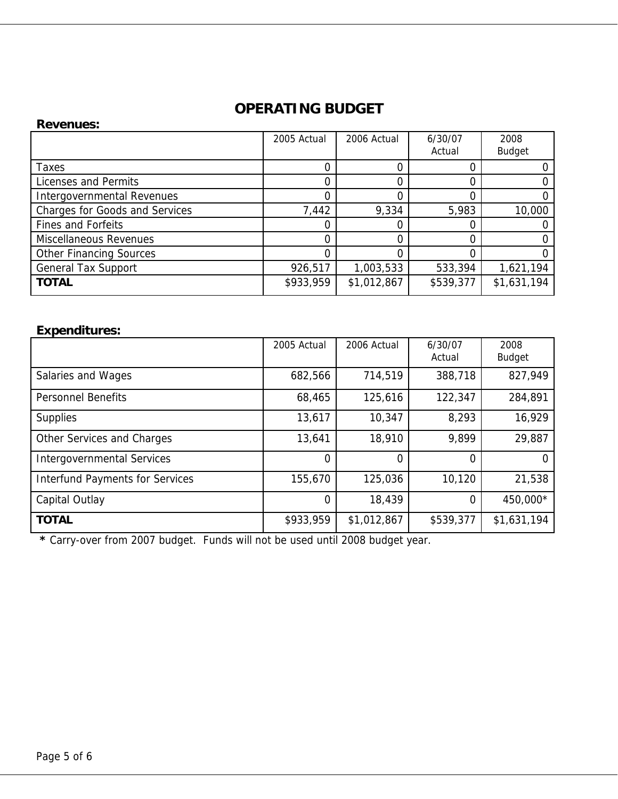# **OPERATING BUDGET**

| <b>Revenues:</b>                      |             |             |           |               |
|---------------------------------------|-------------|-------------|-----------|---------------|
|                                       | 2005 Actual | 2006 Actual | 6/30/07   | 2008          |
|                                       |             |             | Actual    | <b>Budget</b> |
| Taxes                                 | 0           |             |           |               |
| Licenses and Permits                  | 0           |             |           |               |
| Intergovernmental Revenues            | 0           |             |           |               |
| <b>Charges for Goods and Services</b> | 7,442       | 9,334       | 5,983     | 10,000        |
| <b>Fines and Forfeits</b>             | 0           |             |           |               |
| <b>Miscellaneous Revenues</b>         | 0           |             |           |               |
| <b>Other Financing Sources</b>        | 0           |             |           |               |
| <b>General Tax Support</b>            | 926,517     | 1,003,533   | 533,394   | 1,621,194     |
| <b>TOTAL</b>                          | \$933,959   | \$1,012,867 | \$539,377 | \$1,631,194   |

# **Expenditures:**

|                                        | 2005 Actual | 2006 Actual    | 6/30/07<br>Actual | 2008<br><b>Budget</b> |
|----------------------------------------|-------------|----------------|-------------------|-----------------------|
| Salaries and Wages                     | 682,566     | 714,519        | 388,718           | 827,949               |
| <b>Personnel Benefits</b>              | 68,465      | 125,616        | 122,347           | 284,891               |
| <b>Supplies</b>                        | 13,617      | 10,347         | 8,293             | 16,929                |
| Other Services and Charges             | 13,641      | 18,910         | 9,899             | 29,887                |
| <b>Intergovernmental Services</b>      | 0           | $\overline{0}$ |                   |                       |
| <b>Interfund Payments for Services</b> | 155,670     | 125,036        | 10,120            | 21,538                |
| Capital Outlay                         | $\Omega$    | 18,439         | 0                 | 450,000*              |
| <b>TOTAL</b>                           | \$933,959   | \$1,012,867    | \$539,377         | \$1,631,194           |

 **\*** Carry-over from 2007 budget. Funds will not be used until 2008 budget year.